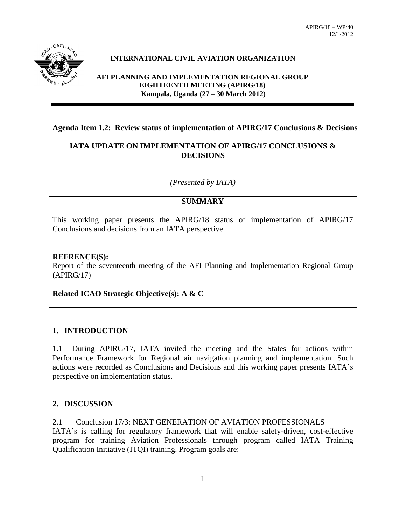

#### **INTERNATIONAL CIVIL AVIATION ORGANIZATION**

**AFI PLANNING AND IMPLEMENTATION REGIONAL GROUP EIGHTEENTH MEETING (APIRG/18) Kampala, Uganda (27 – 30 March 2012)**

#### **Agenda Item 1.2: Review status of implementation of APIRG/17 Conclusions & Decisions**

#### **IATA UPDATE ON IMPLEMENTATION OF APIRG/17 CONCLUSIONS & DECISIONS**

*(Presented by IATA)*

#### **SUMMARY**

This working paper presents the APIRG/18 status of implementation of APIRG/17 Conclusions and decisions from an IATA perspective

#### **REFRENCE(S):**

Report of the seventeenth meeting of the AFI Planning and Implementation Regional Group (APIRG/17)

**Related ICAO Strategic Objective(s): A & C**

#### **1. INTRODUCTION**

1.1 During APIRG/17, IATA invited the meeting and the States for actions within Performance Framework for Regional air navigation planning and implementation. Such actions were recorded as Conclusions and Decisions and this working paper presents IATA's perspective on implementation status.

#### **2. DISCUSSION**

2.1 Conclusion 17/3: NEXT GENERATION OF AVIATION PROFESSIONALS IATA's is calling for regulatory framework that will enable safety-driven, cost-effective program for training Aviation Professionals through program called IATA Training Qualification Initiative (ITQI) training. Program goals are: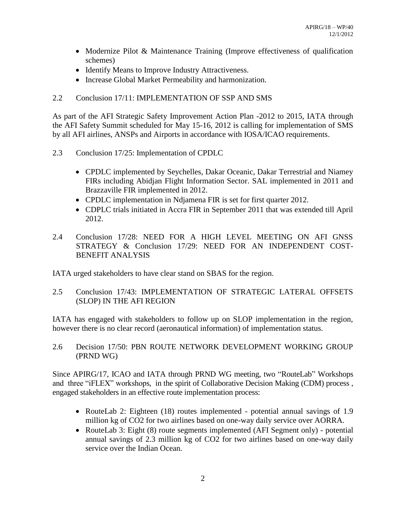- Modernize Pilot & Maintenance Training (Improve effectiveness of qualification schemes)
- Identify Means to Improve Industry Attractiveness.
- Increase Global Market Permeability and harmonization.
- 2.2 Conclusion 17/11: IMPLEMENTATION OF SSP AND SMS

As part of the AFI Strategic Safety Improvement Action Plan -2012 to 2015, IATA through the AFI Safety Summit scheduled for May 15-16, 2012 is calling for implementation of SMS by all AFI airlines, ANSPs and Airports in accordance with IOSA/ICAO requirements.

- 2.3 Conclusion 17/25: Implementation of CPDLC
	- CPDLC implemented by Seychelles, Dakar Oceanic, Dakar Terrestrial and Niamey FIRs including Abidjan Flight Information Sector. SAL implemented in 2011 and Brazzaville FIR implemented in 2012.
	- CPDLC implementation in Ndjamena FIR is set for first quarter 2012.
	- CDPLC trials initiated in Accra FIR in September 2011 that was extended till April 2012.
- 2.4 Conclusion 17/28: NEED FOR A HIGH LEVEL MEETING ON AFI GNSS STRATEGY & Conclusion 17/29: NEED FOR AN INDEPENDENT COST-BENEFIT ANALYSIS

IATA urged stakeholders to have clear stand on SBAS for the region.

2.5 Conclusion 17/43: IMPLEMENTATION OF STRATEGIC LATERAL OFFSETS (SLOP) IN THE AFI REGION

IATA has engaged with stakeholders to follow up on SLOP implementation in the region, however there is no clear record (aeronautical information) of implementation status.

2.6 Decision 17/50: PBN ROUTE NETWORK DEVELOPMENT WORKING GROUP (PRND WG)

Since APIRG/17, ICAO and IATA through PRND WG meeting, two "RouteLab" Workshops and three "iFLEX" workshops, in the spirit of Collaborative Decision Making (CDM) process , engaged stakeholders in an effective route implementation process:

- RouteLab 2: Eighteen (18) routes implemented potential annual savings of 1.9 million kg of CO2 for two airlines based on one-way daily service over AORRA.
- RouteLab 3: Eight (8) route segments implemented (AFI Segment only) potential annual savings of 2.3 million kg of CO2 for two airlines based on one-way daily service over the Indian Ocean.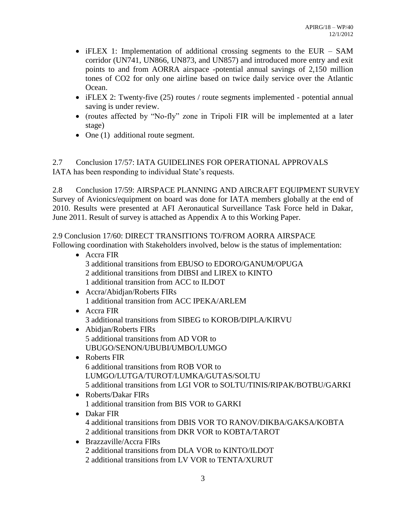- iFLEX 1: Implementation of additional crossing segments to the EUR SAM corridor (UN741, UN866, UN873, and UN857) and introduced more entry and exit points to and from AORRA airspace -potential annual savings of 2,150 million tones of CO2 for only one airline based on twice daily service over the Atlantic Ocean.
- iFLEX 2: Twenty-five (25) routes / route segments implemented potential annual saving is under review.
- (routes affected by "No-fly" zone in Tripoli FIR will be implemented at a later stage)
- One (1) additional route segment.

2.7 Conclusion 17/57: IATA GUIDELINES FOR OPERATIONAL APPROVALS IATA has been responding to individual State's requests.

2.8 Conclusion 17/59: AIRSPACE PLANNING AND AIRCRAFT EQUIPMENT SURVEY Survey of Avionics/equipment on board was done for IATA members globally at the end of 2010. Results were presented at AFI Aeronautical Surveillance Task Force held in Dakar, June 2011. Result of survey is attached as Appendix A to this Working Paper.

2.9 Conclusion 17/60: DIRECT TRANSITIONS TO/FROM AORRA AIRSPACE Following coordination with Stakeholders involved, below is the status of implementation:

- Accra FIR 3 additional transitions from EBUSO to EDORO/GANUM/OPUGA 2 additional transitions from DIBSI and LIREX to KINTO 1 additional transition from ACC to ILDOT
- Accra/Abidjan/Roberts FIRs 1 additional transition from ACC IPEKA/ARLEM
- Accra FIR 3 additional transitions from SIBEG to KOROB/DIPLA/KIRVU
- Abidian/Roberts FIRs 5 additional transitions from AD VOR to UBUGO/SENON/UBUBI/UMBO/LUMGO
- Roberts FIR 6 additional transitions from ROB VOR to LUMGO/LUTGA/TUROT/LUMKA/GUTAS/SOLTU 5 additional transitions from LGI VOR to SOLTU/TINIS/RIPAK/BOTBU/GARKI
- Roberts/Dakar FIRs 1 additional transition from BIS VOR to GARKI
- Dakar FIR 4 additional transitions from DBIS VOR TO RANOV/DIKBA/GAKSA/KOBTA 2 additional transitions from DKR VOR to KOBTA/TAROT
- Brazzaville/Accra FIRs 2 additional transitions from DLA VOR to KINTO/ILDOT 2 additional transitions from LV VOR to TENTA/XURUT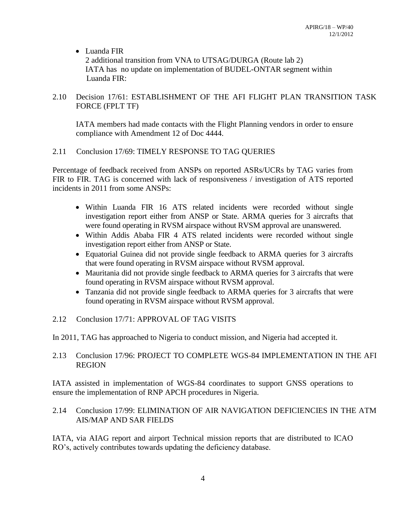#### • Luanda FIR

2 additional transition from VNA to UTSAG/DURGA (Route lab 2) IATA has no update on implementation of BUDEL-ONTAR segment within Luanda FIR:

#### 2.10 Decision 17/61: ESTABLISHMENT OF THE AFI FLIGHT PLAN TRANSITION TASK FORCE (FPLT TF)

IATA members had made contacts with the Flight Planning vendors in order to ensure compliance with Amendment 12 of Doc 4444.

#### 2.11 Conclusion 17/69: TIMELY RESPONSE TO TAG QUERIES

Percentage of feedback received from ANSPs on reported ASRs/UCRs by TAG varies from FIR to FIR. TAG is concerned with lack of responsiveness / investigation of ATS reported incidents in 2011 from some ANSPs:

- Within Luanda FIR 16 ATS related incidents were recorded without single investigation report either from ANSP or State. ARMA queries for 3 aircrafts that were found operating in RVSM airspace without RVSM approval are unanswered.
- Within Addis Ababa FIR 4 ATS related incidents were recorded without single investigation report either from ANSP or State.
- Equatorial Guinea did not provide single feedback to ARMA queries for 3 aircrafts that were found operating in RVSM airspace without RVSM approval.
- Mauritania did not provide single feedback to ARMA queries for 3 aircrafts that were found operating in RVSM airspace without RVSM approval.
- Tanzania did not provide single feedback to ARMA queries for 3 aircrafts that were found operating in RVSM airspace without RVSM approval.

#### 2.12 Conclusion 17/71: APPROVAL OF TAG VISITS

In 2011, TAG has approached to Nigeria to conduct mission, and Nigeria had accepted it.

#### 2.13 Conclusion 17/96: PROJECT TO COMPLETE WGS-84 IMPLEMENTATION IN THE AFI REGION

IATA assisted in implementation of WGS-84 coordinates to support GNSS operations to ensure the implementation of RNP APCH procedures in Nigeria.

#### 2.14 Conclusion 17/99: ELIMINATION OF AIR NAVIGATION DEFICIENCIES IN THE ATM AIS/MAP AND SAR FIELDS

IATA, via AIAG report and airport Technical mission reports that are distributed to ICAO RO's, actively contributes towards updating the deficiency database.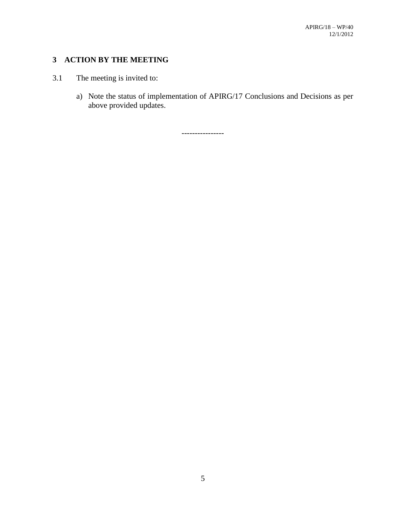## **3 ACTION BY THE MEETING**

### 3.1 The meeting is invited to:

a) Note the status of implementation of APIRG/17 Conclusions and Decisions as per above provided updates.

----------------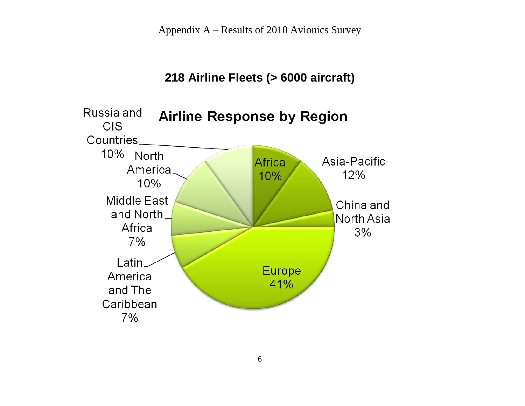Appendix A – Results of 2010 Avionics Survey

# **218 Airline Fleets (> 6000 aircraft)**